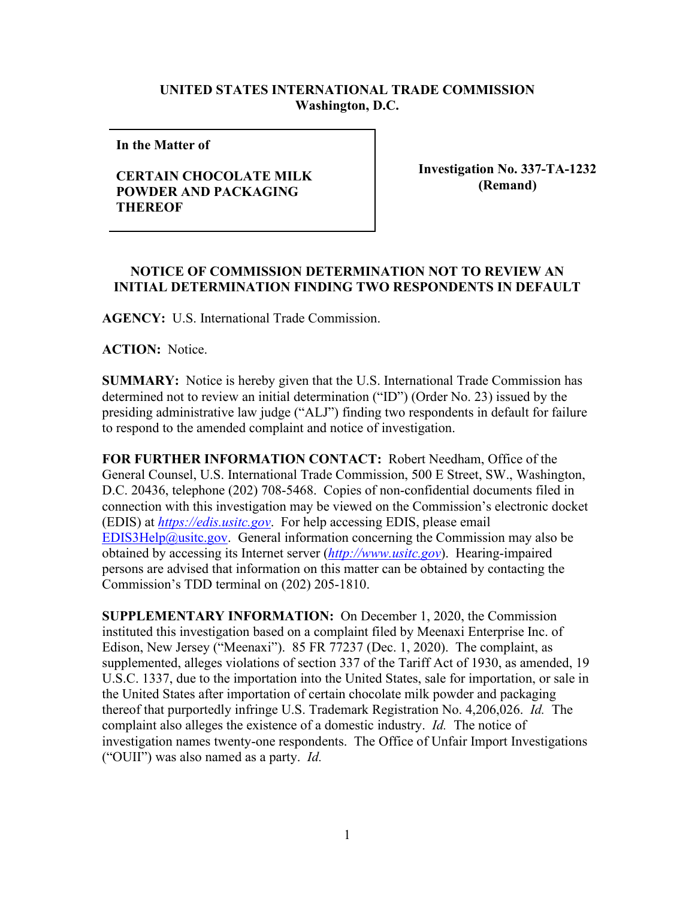## **UNITED STATES INTERNATIONAL TRADE COMMISSION Washington, D.C.**

**In the Matter of** 

## **CERTAIN CHOCOLATE MILK POWDER AND PACKAGING THEREOF**

**Investigation No. 337-TA-1232 (Remand)**

## **NOTICE OF COMMISSION DETERMINATION NOT TO REVIEW AN INITIAL DETERMINATION FINDING TWO RESPONDENTS IN DEFAULT**

**AGENCY:** U.S. International Trade Commission.

**ACTION:** Notice.

**SUMMARY:** Notice is hereby given that the U.S. International Trade Commission has determined not to review an initial determination ("ID") (Order No. 23) issued by the presiding administrative law judge ("ALJ") finding two respondents in default for failure to respond to the amended complaint and notice of investigation.

**FOR FURTHER INFORMATION CONTACT:** Robert Needham, Office of the General Counsel, U.S. International Trade Commission, 500 E Street, SW., Washington, D.C. 20436, telephone (202) 708-5468. Copies of non-confidential documents filed in connection with this investigation may be viewed on the Commission's electronic docket (EDIS) at *[https://edis.usitc.gov](https://edis.usitc.gov/)*. For help accessing EDIS, please email [EDIS3Help@usitc.gov.](mailto:EDIS3Help@usitc.gov) General information concerning the Commission may also be obtained by accessing its Internet server (*[http://www.usitc.gov](http://www.usitc.gov/)*). Hearing-impaired persons are advised that information on this matter can be obtained by contacting the Commission's TDD terminal on (202) 205-1810.

**SUPPLEMENTARY INFORMATION:** On December 1, 2020, the Commission instituted this investigation based on a complaint filed by Meenaxi Enterprise Inc. of Edison, New Jersey ("Meenaxi"). 85 FR 77237 (Dec. 1, 2020). The complaint, as supplemented, alleges violations of section 337 of the Tariff Act of 1930, as amended, 19 U.S.C. 1337, due to the importation into the United States, sale for importation, or sale in the United States after importation of certain chocolate milk powder and packaging thereof that purportedly infringe U.S. Trademark Registration No. 4,206,026. *Id.* The complaint also alleges the existence of a domestic industry. *Id.* The notice of investigation names twenty-one respondents. The Office of Unfair Import Investigations ("OUII") was also named as a party. *Id.*